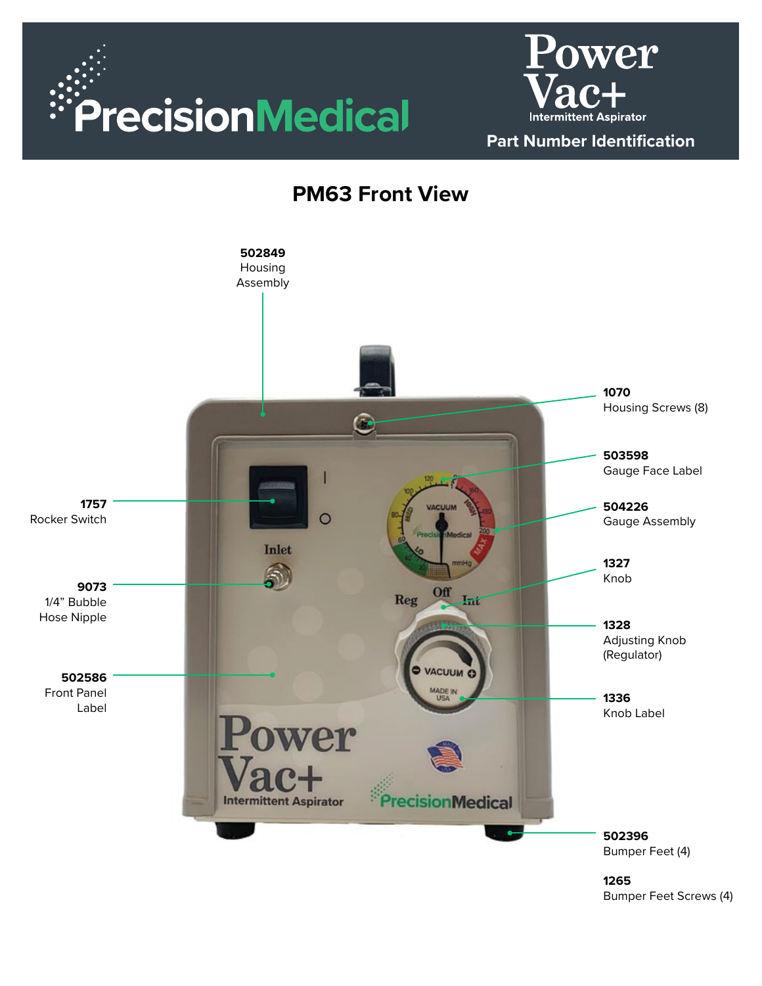





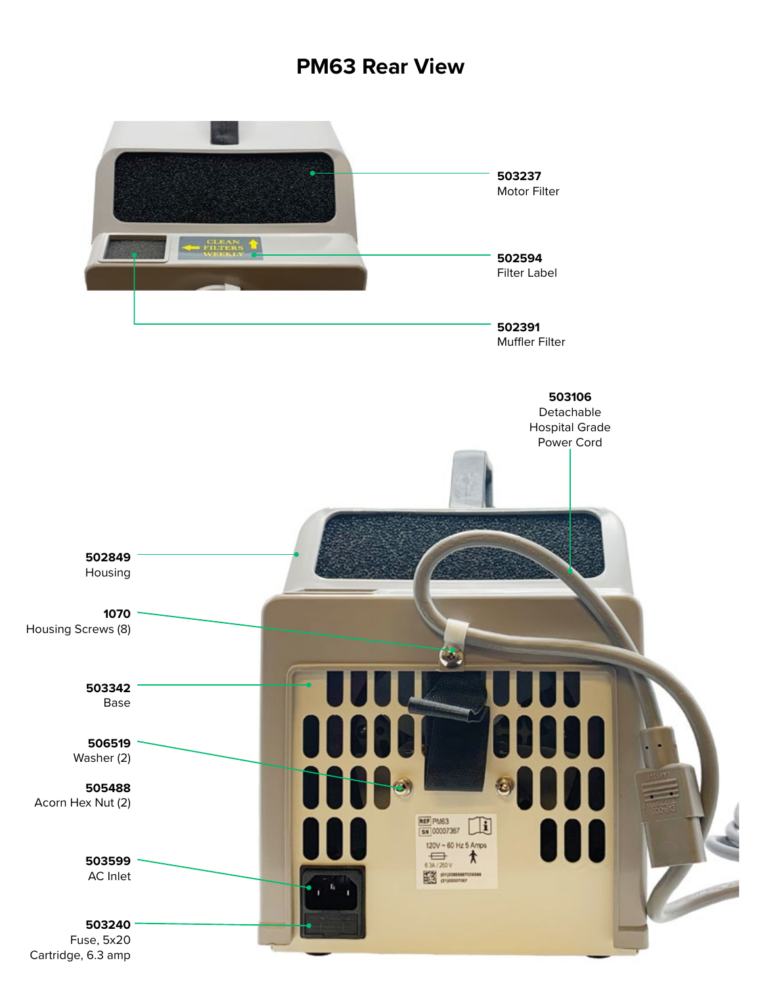### **PM63 Rear View**

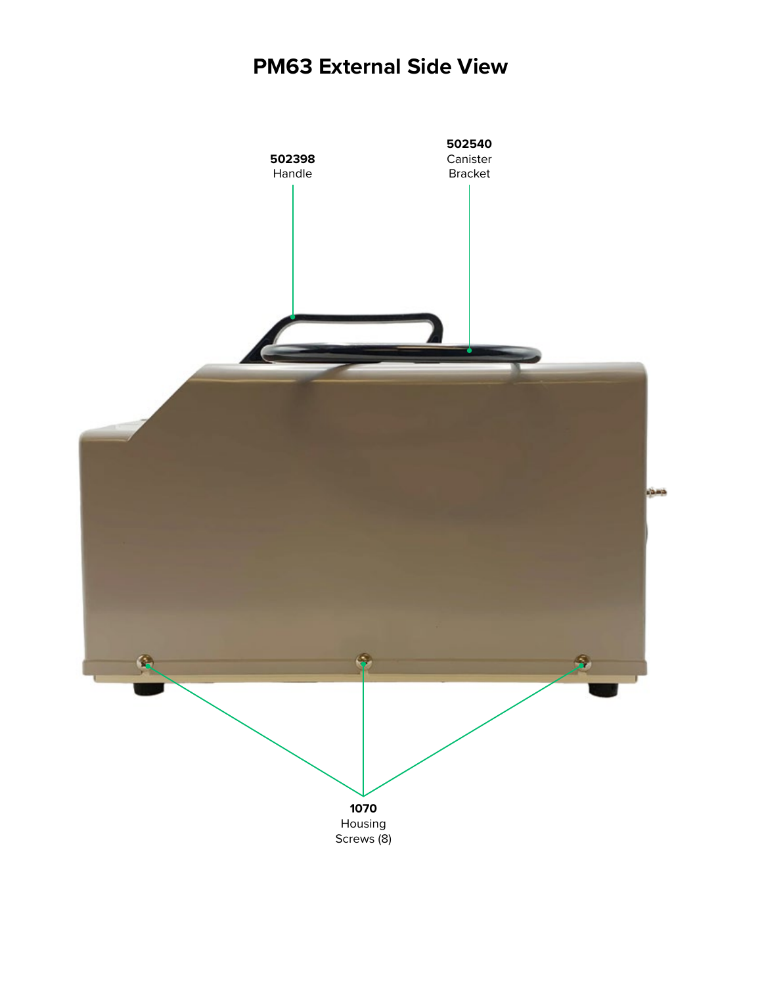# **PM63 External Side View**

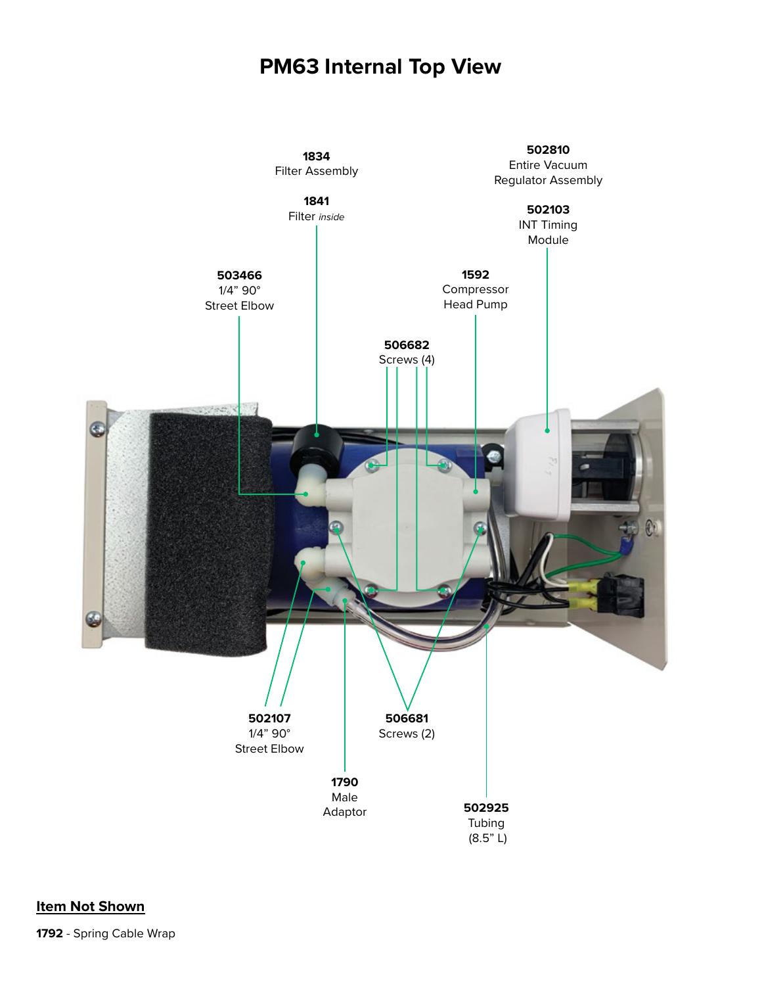### **PM63 Internal Top View**

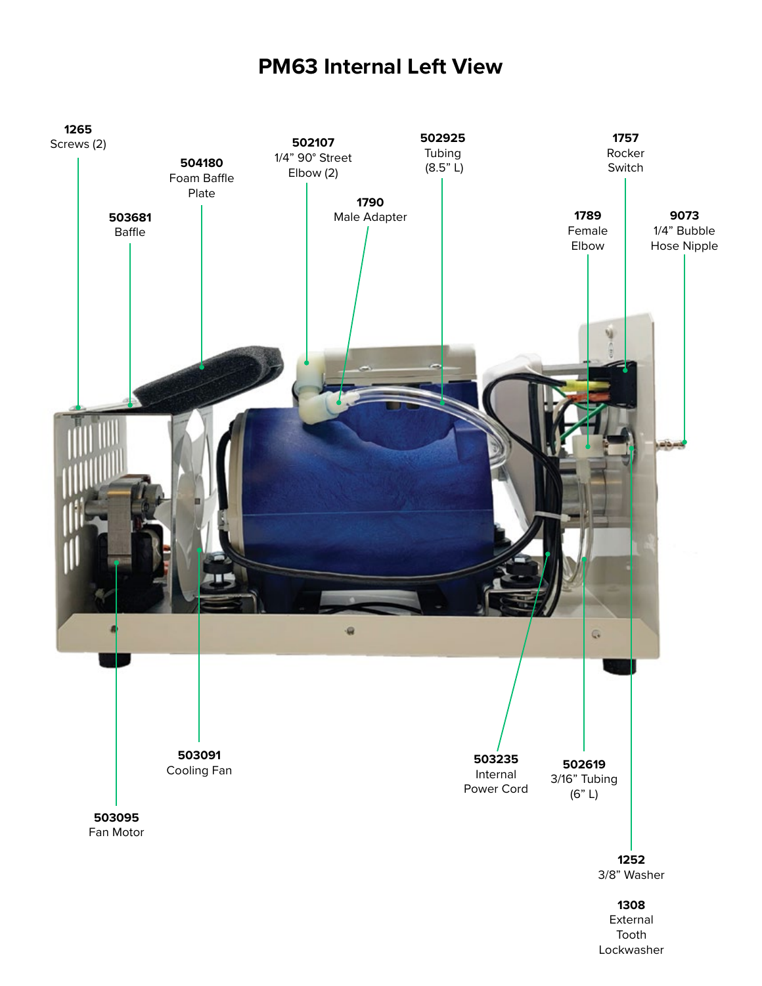## **PM63 Internal Left View**

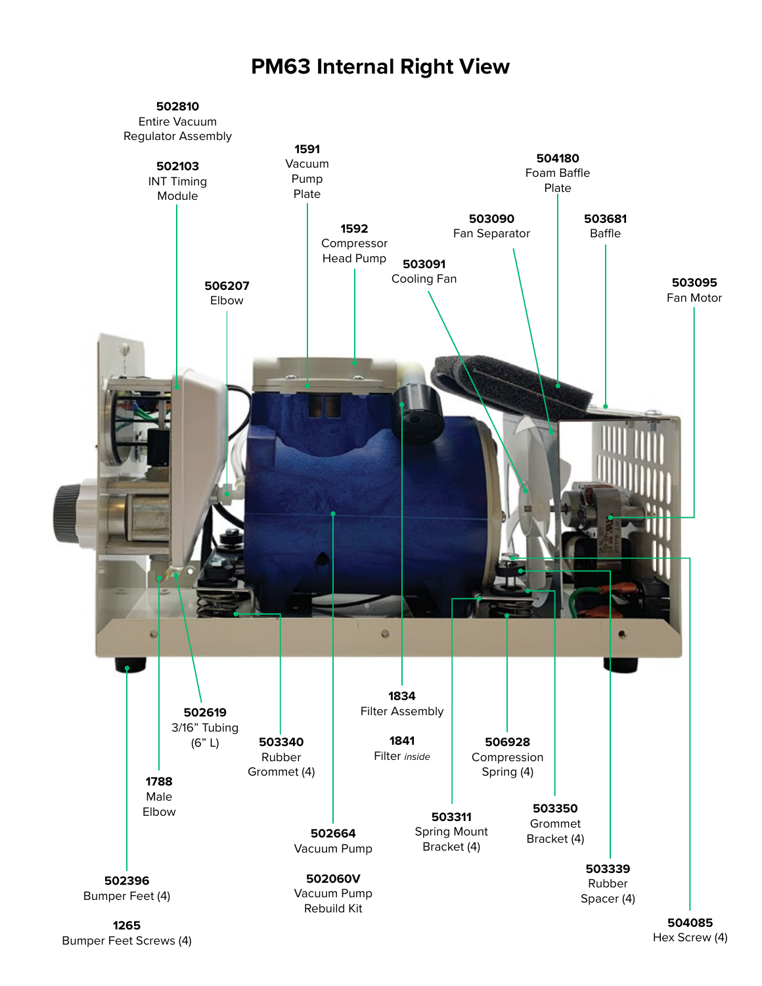### **PM63 Internal Right View**